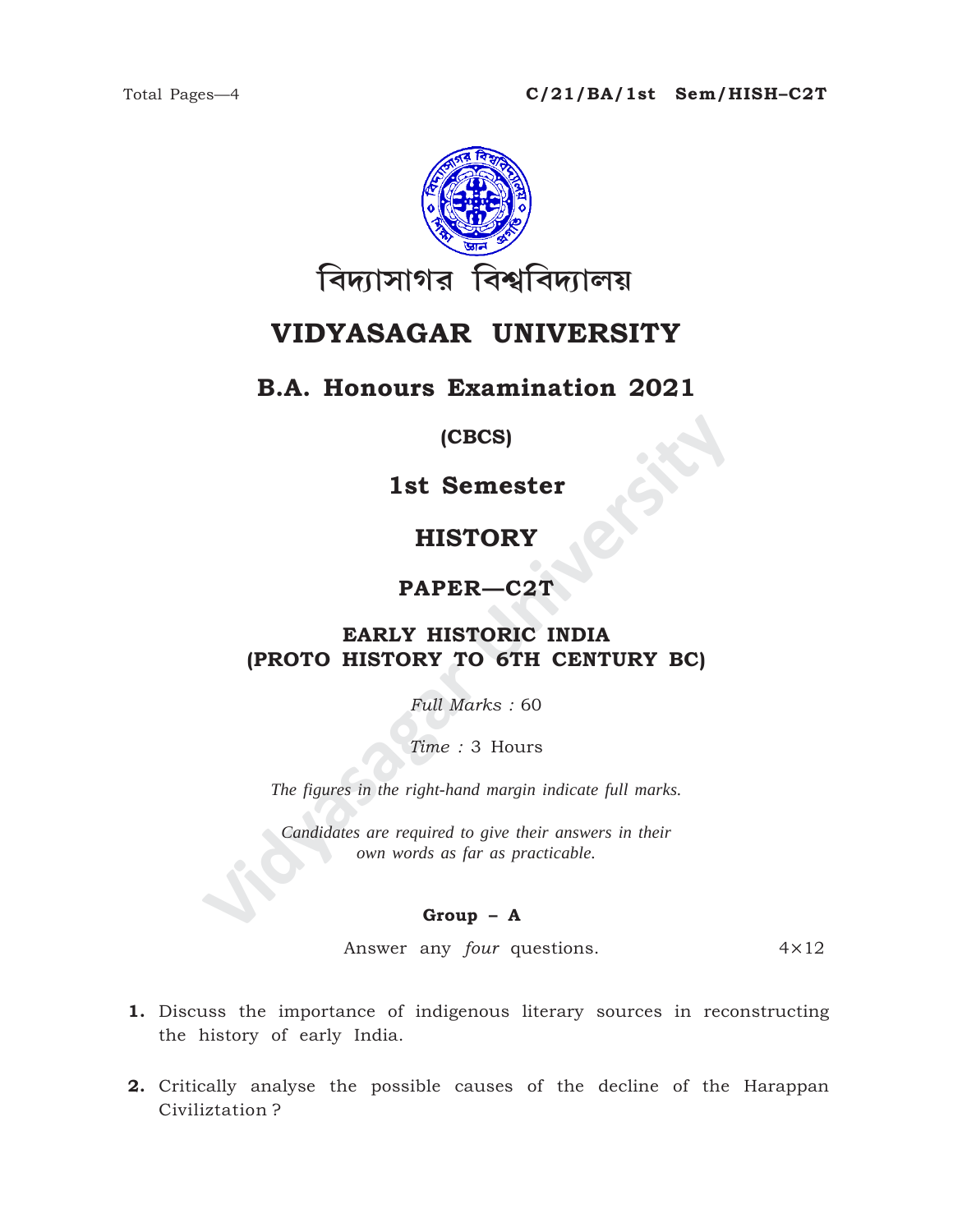

## **VIDYASAGAR UNIVERSITY**

## **B.A. Honours Examination 2021**

#### **(CBCS)**

**1st Semester**

## **HISTORY**

### **PAPER—C2T**

# **ISTORY<br>
ISTORY<br>
PAPER—C2T<br>
EARLY HISTORY TO 6TH CENTURY BC)<br>
FULL Marks : 60<br>
Time : 3 Hours<br>
The figures in the right-hand margin indicate full marks.<br>
Candidates are required to give their answers in their<br>
cown words a EARLY HISTORIC INDIA (PROTO HISTORY TO 6TH CENTURY BC)**

*Full Marks :* 60

*Time :* 3 Hours

*The figures in the right-hand margin indicate full marks.*

*Candidates are required to give their answers in their own words as far as practicable.*

#### **Group – A**

Answer any *four* questions. 4×12

- **1.** Discuss the importance of indigenous literary sources in reconstructing the history of early India.
- **2.** Critically analyse the possible causes of the decline of the Harappan Civiliztation ?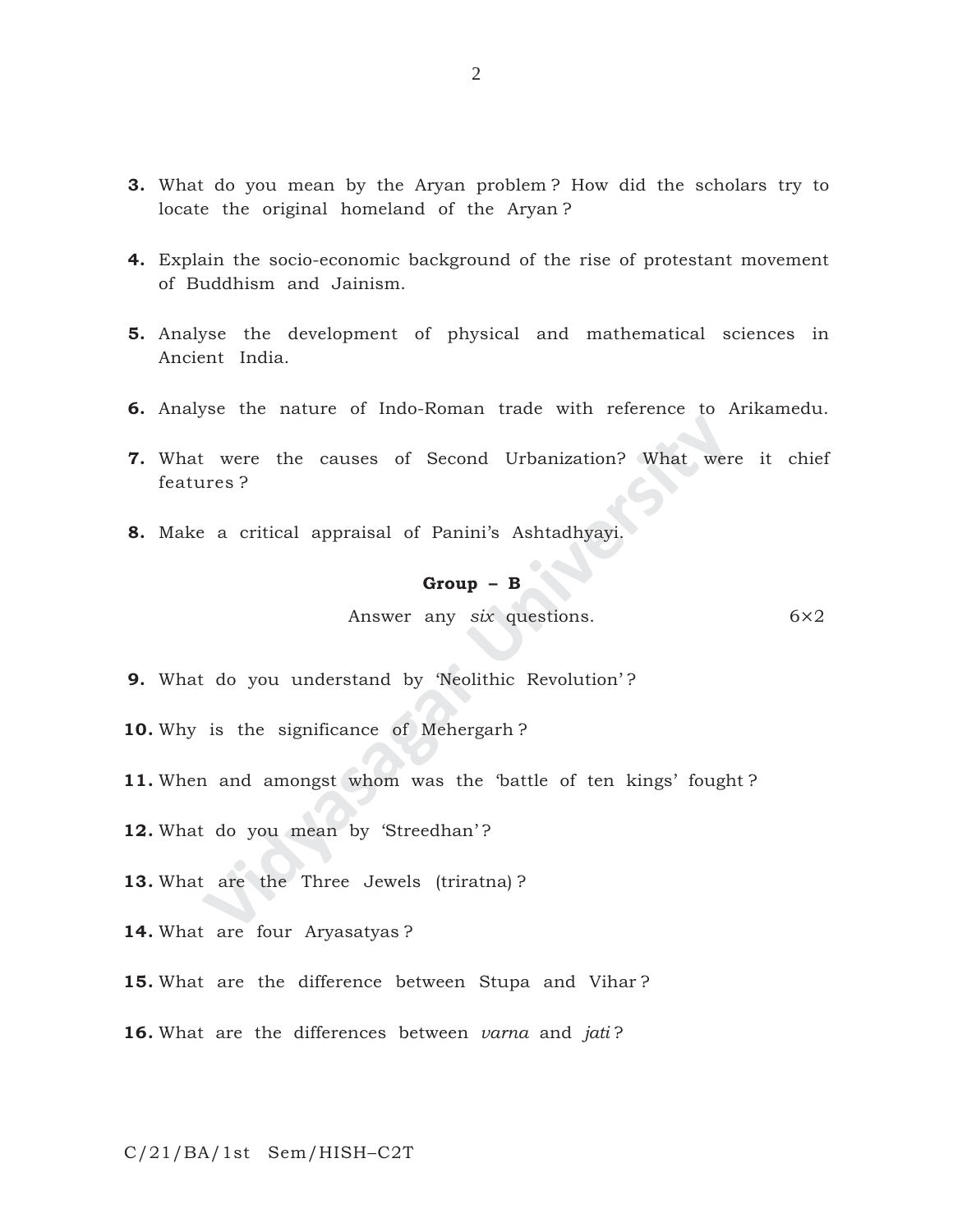- **3.** What do you mean by the Aryan problem ? How did the scholars try to locate the original homeland of the Aryan ?
- **4.** Explain the socio-economic background of the rise of protestant movement of Buddhism and Jainism.
- **5.** Analyse the development of physical and mathematical sciences in Ancient India.
- **6.** Analyse the nature of Indo-Roman trade with reference to Arikamedu.
- **Example 18 Second Urbanization?** What were<br> **Video Second Urbanization?** What were<br> **Croup B**<br> **Answer any six questions.**<br> **Croup B**<br> **Answer any six questions.**<br> **Croup B**<br> **Answer any six questions.**<br> **Croup B 7.** What were the causes of Second Urbanization? What were it chief features ?
- **8.** Make a critical appraisal of Panini's Ashtadhyayi.

## **Group – B**

Answer any *six* questions. 6×2

**9.** What do you understand by 'Neolithic Revolution' ?

**10.** Why is the significance of Mehergarh ?

- **11.** When and amongst whom was the 'battle of ten kings' fought ?
- 12. What do you mean by 'Streedhan'?

**13.** What are the Three Jewels (triratna) ?

**14.** What are four Aryasatyas ?

**15.** What are the difference between Stupa and Vihar ?

**16.** What are the differences between *varna* and *jati* ?

C/21/BA/1st Sem/HISH–C2T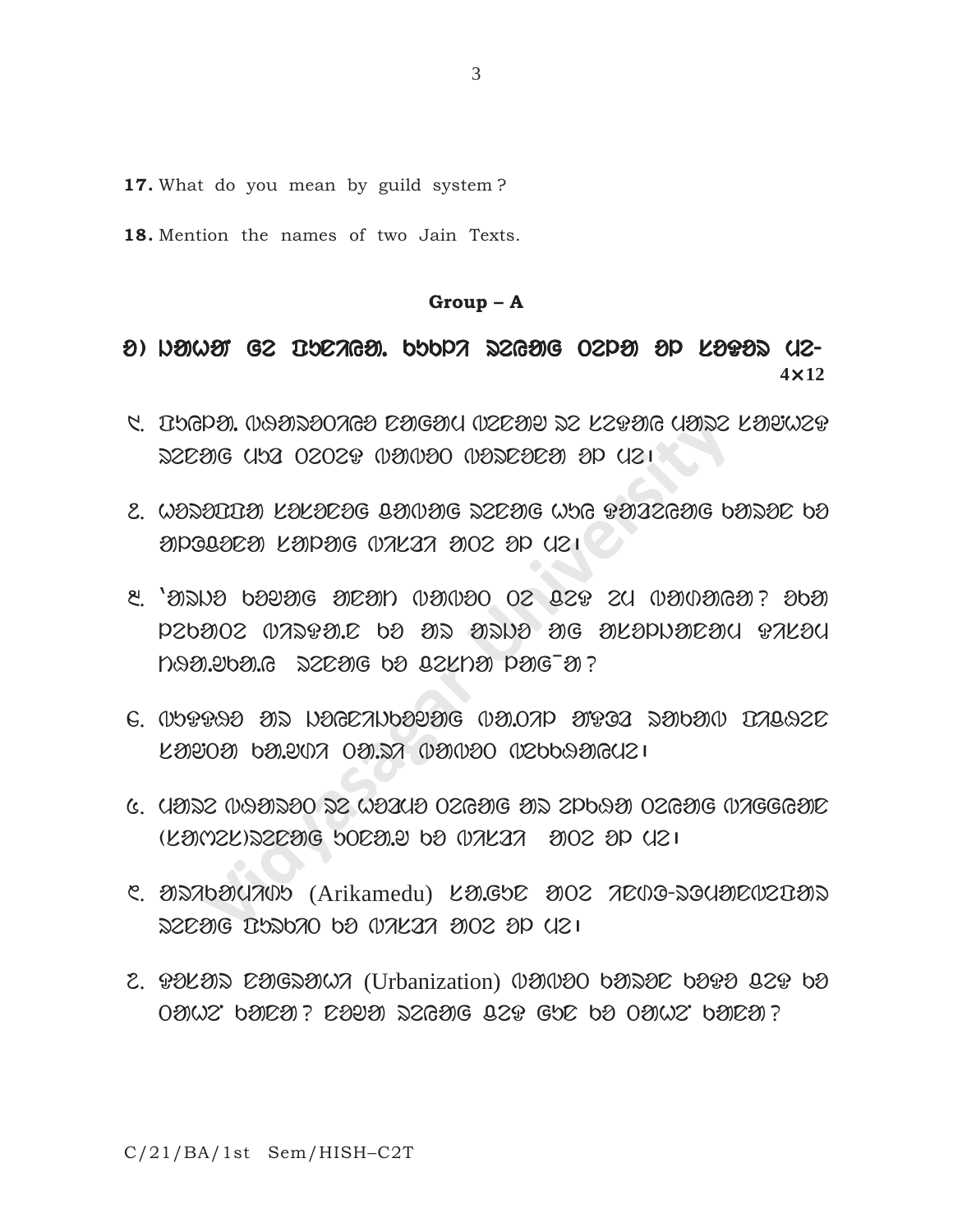**17.** What do you mean by guild system ?

**18.** Mention the names of two Jain Texts.

#### **Group – A**

## $\theta$ )  $D$ ahat ge burtaat. Kubli degag oepa ap lata ue-**4**×**12**

- 5. DUGDA, INGADAOTIGA DAGAM INSEAT DE NEBAG NADE NATUET  $RSE$ 20G (152 02029 (121020 (1222222) 2P (121
- 2. WIZIUUN LILIEIG BINING ZEENG WHG PIIZENG bIZIE bI aloggaea kaparg wakaa are ap yer
- Manda Chara Dara Diche Dic Shoral Dara<br>Side (1930)<br>1930 Manda Dara Dick Charage (1940)<br>1930 Manda Dara Dick Chara<br>1930 Manda Dara Dick Chara<br>1930 Manda Dara Dick Chara<br>1930 Manda Dara Dick Chara<br>1930 Manda Dara Dick Chara<br>  $\alpha$  , and  $\alpha$  ario and all  $\alpha$  and  $\alpha$  and  $\alpha$  and  $\alpha$  and  $\alpha$  and  $\alpha$  $120002$   $07399912$   $b3$   $303$   $3019$   $306$   $302010302301$   $971201$ tHa.wka.y renag ko cesta lag¯a?
- $6.$   $0$ 2020 ar  $120$ Ba.Thosaig  $0$ 310ap arra rakab  $170$  $\mathcal{L} \mathfrak{D} \mathfrak{D} \mathfrak{D} \mathfrak{D}$  ba.ya 0a.da (u $\mathfrak{D} \mathfrak{D} \mathfrak{D} \mathfrak{D}$ alauzi
- $6.$  UNDS  $0.089$ DE  $0.2$  WEINE  $0.269$ G AD SPORN  $0.269$ G  $0.7666$ AIC  $(E3)$ (22)  $E306$   $E302$   $E302$   $E31$   $E302$   $E31$
- $C. 80$ 276900705 (Arikamedu)  $L90500$   $3002$   $7000$ -2009 $R02030$ reng Ispono po wakaz ovoz op uzi
- 2. POLOIS COIGSONA (Urbanization) IDIIDO bOISOC bOPO Q2P bO  $T$ ahen kana dan danggal dan kana. Dang sebagan kanapan kanapan kanapan kanapan kanapan kanapan kanapan kanan kanan kanan kanan kanan kanan kanan kanapan kanan kanan kanan kanan kanan kanan kanan kanan kanan kanan kanan k

C/21/BA/1st Sem/HISH–C2T